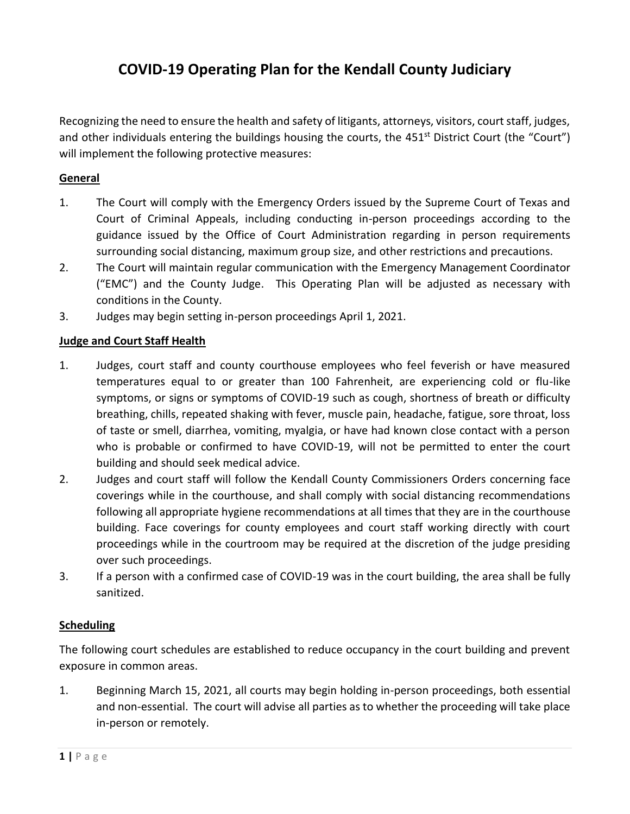# **COVID-19 Operating Plan for the Kendall County Judiciary**

Recognizing the need to ensure the health and safety of litigants, attorneys, visitors, court staff, judges, and other individuals entering the buildings housing the courts, the  $451<sup>st</sup>$  District Court (the "Court") will implement the following protective measures:

# **General**

- 1. The Court will comply with the Emergency Orders issued by the Supreme Court of Texas and Court of Criminal Appeals, including conducting in-person proceedings according to the guidance issued by the Office of Court Administration regarding in person requirements surrounding social distancing, maximum group size, and other restrictions and precautions.
- 2. The Court will maintain regular communication with the Emergency Management Coordinator ("EMC") and the County Judge. This Operating Plan will be adjusted as necessary with conditions in the County.
- 3. Judges may begin setting in-person proceedings April 1, 2021.

## **Judge and Court Staff Health**

- 1. Judges, court staff and county courthouse employees who feel feverish or have measured temperatures equal to or greater than 100 Fahrenheit, are experiencing cold or flu-like symptoms, or signs or symptoms of COVID-19 such as cough, shortness of breath or difficulty breathing, chills, repeated shaking with fever, muscle pain, headache, fatigue, sore throat, loss of taste or smell, diarrhea, vomiting, myalgia, or have had known close contact with a person who is probable or confirmed to have COVID-19, will not be permitted to enter the court building and should seek medical advice.
- 2. Judges and court staff will follow the Kendall County Commissioners Orders concerning face coverings while in the courthouse, and shall comply with social distancing recommendations following all appropriate hygiene recommendations at all times that they are in the courthouse building. Face coverings for county employees and court staff working directly with court proceedings while in the courtroom may be required at the discretion of the judge presiding over such proceedings.
- 3. If a person with a confirmed case of COVID-19 was in the court building, the area shall be fully sanitized.

## **Scheduling**

The following court schedules are established to reduce occupancy in the court building and prevent exposure in common areas.

1. Beginning March 15, 2021, all courts may begin holding in-person proceedings, both essential and non-essential. The court will advise all parties as to whether the proceeding will take place in-person or remotely.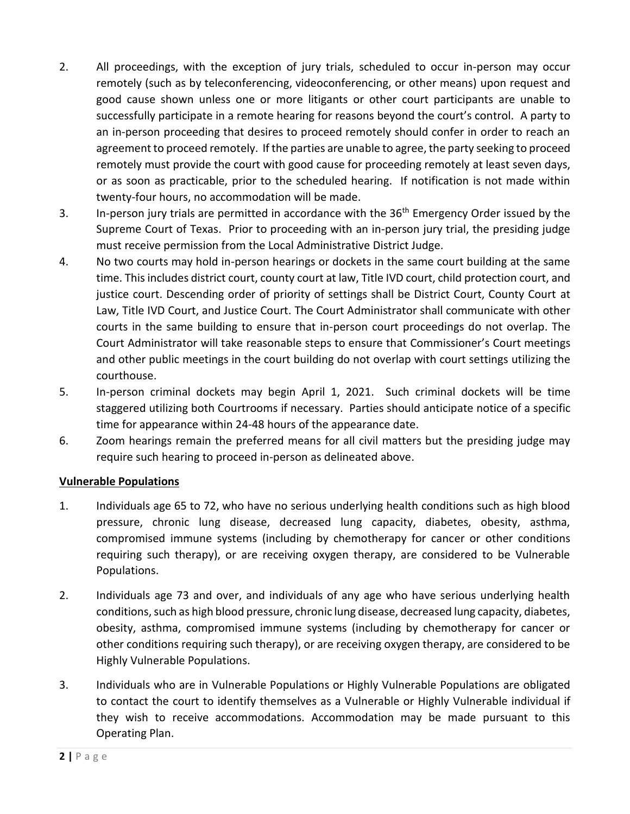- 2. All proceedings, with the exception of jury trials, scheduled to occur in-person may occur remotely (such as by teleconferencing, videoconferencing, or other means) upon request and good cause shown unless one or more litigants or other court participants are unable to successfully participate in a remote hearing for reasons beyond the court's control. A party to an in-person proceeding that desires to proceed remotely should confer in order to reach an agreement to proceed remotely. If the parties are unable to agree, the party seeking to proceed remotely must provide the court with good cause for proceeding remotely at least seven days, or as soon as practicable, prior to the scheduled hearing. If notification is not made within twenty-four hours, no accommodation will be made.
- 3. In-person jury trials are permitted in accordance with the 36<sup>th</sup> Emergency Order issued by the Supreme Court of Texas. Prior to proceeding with an in-person jury trial, the presiding judge must receive permission from the Local Administrative District Judge.
- 4. No two courts may hold in-person hearings or dockets in the same court building at the same time. This includes district court, county court at law, Title IVD court, child protection court, and justice court. Descending order of priority of settings shall be District Court, County Court at Law, Title IVD Court, and Justice Court. The Court Administrator shall communicate with other courts in the same building to ensure that in-person court proceedings do not overlap. The Court Administrator will take reasonable steps to ensure that Commissioner's Court meetings and other public meetings in the court building do not overlap with court settings utilizing the courthouse.
- 5. In-person criminal dockets may begin April 1, 2021. Such criminal dockets will be time staggered utilizing both Courtrooms if necessary. Parties should anticipate notice of a specific time for appearance within 24-48 hours of the appearance date.
- 6. Zoom hearings remain the preferred means for all civil matters but the presiding judge may require such hearing to proceed in-person as delineated above.

## **Vulnerable Populations**

- 1. Individuals age 65 to 72, who have no serious underlying health conditions such as high blood pressure, chronic lung disease, decreased lung capacity, diabetes, obesity, asthma, compromised immune systems (including by chemotherapy for cancer or other conditions requiring such therapy), or are receiving oxygen therapy, are considered to be Vulnerable Populations.
- 2. Individuals age 73 and over, and individuals of any age who have serious underlying health conditions, such as high blood pressure, chronic lung disease, decreased lung capacity, diabetes, obesity, asthma, compromised immune systems (including by chemotherapy for cancer or other conditions requiring such therapy), or are receiving oxygen therapy, are considered to be Highly Vulnerable Populations.
- 3. Individuals who are in Vulnerable Populations or Highly Vulnerable Populations are obligated to contact the court to identify themselves as a Vulnerable or Highly Vulnerable individual if they wish to receive accommodations. Accommodation may be made pursuant to this Operating Plan.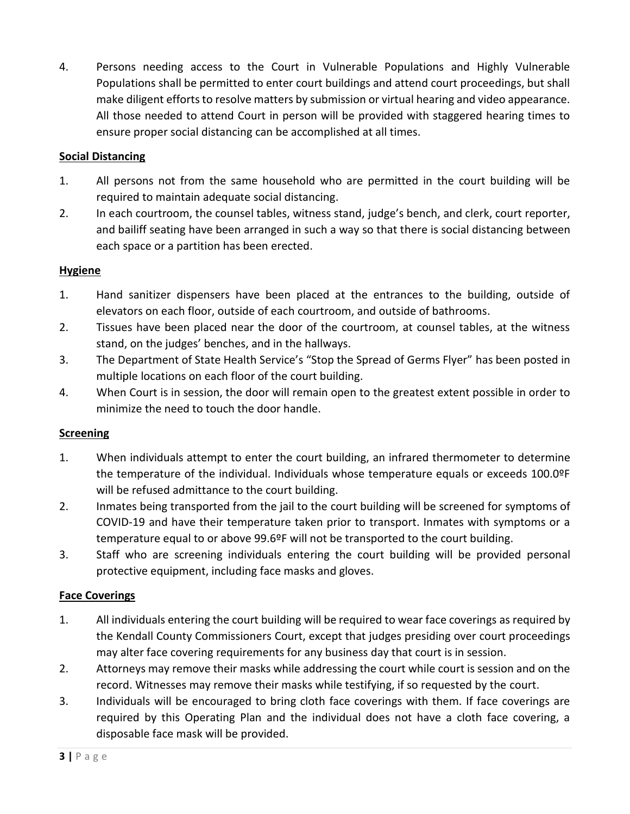4. Persons needing access to the Court in Vulnerable Populations and Highly Vulnerable Populations shall be permitted to enter court buildings and attend court proceedings, but shall make diligent efforts to resolve matters by submission or virtual hearing and video appearance. All those needed to attend Court in person will be provided with staggered hearing times to ensure proper social distancing can be accomplished at all times.

## **Social Distancing**

- 1. All persons not from the same household who are permitted in the court building will be required to maintain adequate social distancing.
- 2. In each courtroom, the counsel tables, witness stand, judge's bench, and clerk, court reporter, and bailiff seating have been arranged in such a way so that there is social distancing between each space or a partition has been erected.

# **Hygiene**

- 1. Hand sanitizer dispensers have been placed at the entrances to the building, outside of elevators on each floor, outside of each courtroom, and outside of bathrooms.
- 2. Tissues have been placed near the door of the courtroom, at counsel tables, at the witness stand, on the judges' benches, and in the hallways.
- 3. The Department of State Health Service's "Stop the Spread of Germs Flyer" has been posted in multiple locations on each floor of the court building.
- 4. When Court is in session, the door will remain open to the greatest extent possible in order to minimize the need to touch the door handle.

# **Screening**

- 1. When individuals attempt to enter the court building, an infrared thermometer to determine the temperature of the individual. Individuals whose temperature equals or exceeds 100.0ºF will be refused admittance to the court building.
- 2. Inmates being transported from the jail to the court building will be screened for symptoms of COVID-19 and have their temperature taken prior to transport. Inmates with symptoms or a temperature equal to or above 99.6ºF will not be transported to the court building.
- 3. Staff who are screening individuals entering the court building will be provided personal protective equipment, including face masks and gloves.

## **Face Coverings**

- 1. All individuals entering the court building will be required to wear face coverings as required by the Kendall County Commissioners Court, except that judges presiding over court proceedings may alter face covering requirements for any business day that court is in session.
- 2. Attorneys may remove their masks while addressing the court while court is session and on the record. Witnesses may remove their masks while testifying, if so requested by the court.
- 3. Individuals will be encouraged to bring cloth face coverings with them. If face coverings are required by this Operating Plan and the individual does not have a cloth face covering, a disposable face mask will be provided.